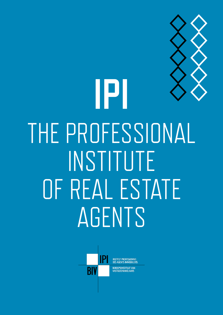

# **1 PI**<br>The Sammar<br>The Sammar THE PROFESSIONAL INSTITUTE OF REAL ESTATE AGENTS



INSTITUT PROFESSIONNEL<br>DES AGENTS IMMOBILIERS **BEROEPSINSTITUUT VAN** VASTGOEDMAKELAARS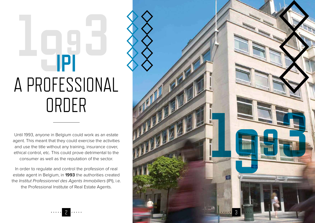Until 1993, anyone in Belgium could work as an estate agent. This meant that they could exercise the activities and use the title without any training, insurance cover, ethical control, etc. This could prove detrimental to the consumer as well as the reputation of the sector.

In order to regulate and control the profession of real estate agent in Belgium, in **1993** the authorities created the *Institut Professionnel des Agents Immobiliers* (IPI), i.e. the Professional Institute of Real Estate Agents.



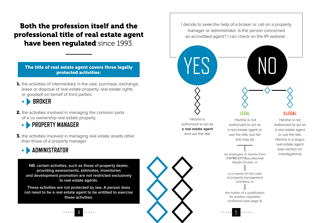#### Both the profession itself and the professional title of real estate agent have been regulated since 1993.

The title of real estate agent covers three legally protected activities:

**1.** the activities of intermediary in the sale, purchase, exchange, lease or disposal of real estate property, real estate rights or goodwill on behalf of third parties

 **BROKER**

2. the activities involved in managing the common parts of a co-ownership real estate property

  **PROPERTY MANAGER**  $\bullet$ 

**3.** the activities involved in managing real estate assets other than those of a property manager



**NB: certain activities, such as those of property dealer, providing assessments, estimates, inventories and development promotion are not restricted exclusively to real estate agents.** 

**These activities are not protected by law. A person does not need to be a real estate agent to be entitled to exercise these activities.**



I decide to seek the help of a broker or call on a property manager or administrator. Is the person concerned an accredited agent? I can check on the IPI website :

#### He/she is authorized to act as **a real estate agent** and use the title

YF S

**LEGAL**

 He/she is not authorized to act as a real estate agent or use the title, but he/ she may be

IFAPME/EFP/Baccalauréat Hautes Ecoles, or

a co-owner (in the case of property management activities), or

the holder of a qualification for another regulated profession (see page 9)

#### **ILLEGAL**

He/she is not authorized to act as a real estate agent or use the title. He/she is a bogus real estate agent (see section on an employee or trainee from investigations)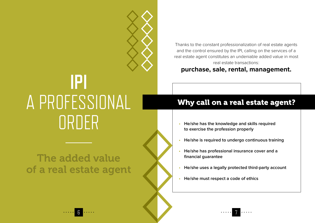

## The added value of a real estate agent

Thanks to the constant professionalization of real estate agents and the control ensured by the IPI, calling on the services of a real estate agent constitutes an undeniable added value in most real estate transactions :

#### **purchase, sale, rental, management.**

### Why call on a real estate agent?

- **• He/she has the knowledge and skills required to exercise the profession properly**
- **• He/she is required to undergo continuous training**
- **• He/she has professional insurance cover and a financial guarantee**
- **• He/she uses a legally protected third-party account**
- **• He/she must respect a code of ethics**



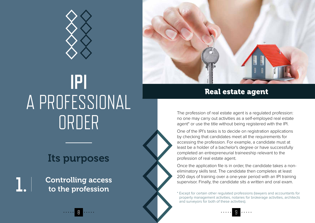

## Its purposes

Controlling access to the profession

**1.**



One of the IPI's tasks is to decide on registration applications by checking that candidates meet all the requirements for accessing the profession. For example, a candidate must at least be a holder of a bachelor's degree or have successfully completed an entrepreneurial traineeship relevant to the profession of real estate agent.

Once the application file is in order, the candidate takes a noneliminatory skills test. The candidate then completes at least 200 days of training over a one-year period with an IPI training supervisor. Finally, the candidate sits a written and oral exam.

\* Except for certain other regulated professions (lawyers and accountants for property management activities, notaries for brokerage activities, architects and surveyors for both of these activities).



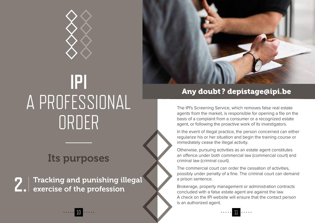

## Its purposes

Tracking and punishing illegal **2.** Tracking and punishing ill<br>**2.** exercise of the profession



### Any doubt? depistage@ipi.be

The IPI's Screening Service, which removes false real estate agents from the market, is responsible for opening a file on the basis of a complaint from a consumer or a recognized estate agent, or following the proactive work of its investigators.

In the event of illegal practice, the person concerned can either regularize his or her situation and begin the training course or immediately cease the illegal activity.

Otherwise, pursuing activities as an estate agent constitutes an offence under both commercial law (commercial court) and criminal law (criminal court).

The commercial court can order the cessation of activities, possibly under penalty of a fine. The criminal court can demand a prison sentence.

Brokerage, property management or administration contracts concluded with a false estate agent are against the law. A check on the IPI website will ensure that the contact person is an authorized agent.

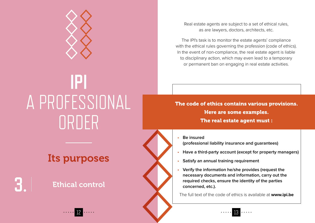

## Its purposes

### Ethical control

**3.**

Real estate agents are subject to a set of ethical rules, as are lawyers, doctors, architects, etc.

The IPI's task is to monitor the estate agents' compliance with the ethical rules governing the profession (code of ethics). In the event of non-compliance, the real estate agent is liable to disciplinary action, which may even lead to a temporary or permanent ban on engaging in real estate activities.

The code of ethics contains various provisions. Here are some examples. The real estate agent must :

**• Be insured (professional liability insurance and guarantees)**

- **• Have a third-party account (except for property managers)**
- **• Satisfy an annual training requirement**
- **• Verify the information he/she provides (request the necessary documents and information, carry out the required checks, ensure the identity of the parties concerned, etc.).**

The full text of the code of ethics is available at **www.ipi.be**

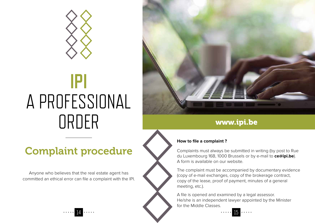

## Complaint procedure

Anyone who believes that the real estate agent has committed an ethical error can file a complaint with the IPI.



### www.ipi.be

#### **How to file a complaint ?**

Complaints must always be submitted in writing (by post to Rue du Luxembourg 16B, 1000 Brussels or by e-mail to **ce@ipi.be**). A form is available on our website.

The complaint must be accompanied by documentary evidence (copy of e-mail exchanges, copy of the brokerage contract, copy of the lease, proof of payment, minutes of a general meeting, etc.).

A file is opened and examined by a legal assessor. He/she is an independent lawyer appointed by the Minister for the Middle Classes.

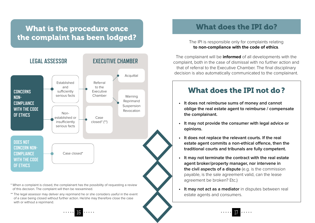### What is the procedure once the complaint has been lodged?



\* When a complaint is closed, the complainant has the possibility of requesting a review of this decision. The complaint will then be reexamined.

\*\* The legal assessor may deliver any reprimand he or she considers useful in the event of a case being closed without further action. He/she may therefore close the case with or without a reprimand.

### What does the IPI do?

The IPI is responsible only for complaints relating **to non-compliance with the code of ethics**.

The complainant will be **informed** of all developments with the complaint, both in the case of dismissal with no further action and that of referral to the Executive Chamber. The final disciplinary decision is also automatically communicated to the complainant.

#### What does the IPI not do?

- **• It does not reimburse sums of money and cannot oblige the real estate agent to reimburse / compensate the complainant.**
- **• It may not provide the consumer with legal advice or opinions.**
- **• It does not replace the relevant courts. If the real estate agent commits a non-ethical offence, then the traditional courts and tribunals are fully competent.**
- **• It may not terminate the contract with the real estate agent broker/property manager, nor intervene in the civil aspects of a dispute** (e.g. is the commission payable, is the sale agreement valid, can the lease agreement be broken? Etc.)
- **• It may not act as a mediator** in disputes between real estate agents and consumers.



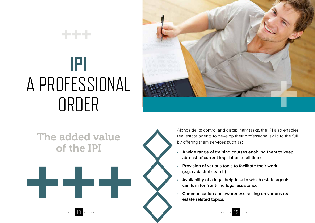\*\*\*



## The added value of the IPI



Alongside its control and disciplinary tasks, the IPI also enables real estate agents to develop their professional skills to the full by offering them services such as :

- **• A wide range of training courses enabling them to keep abreast of current legislation at all times**
- **• Provision of various tools to facilitate their work (e.g. cadastral search)**
- **• Availability of a legal helpdesk to which estate agents can turn for front-line legal assistance**
- **• Communication and awareness raising on various real estate related topics.**

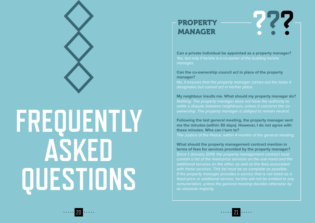

**Can a private individual be appointed as a property manager?**  Yes, but only if he/she is a co-owner of the building he/she manages.

#### **Can the co-ownership council act in place of the property manager?**

No, it ensures that the property manager carries out the tasks it designates but cannot act in his/her place.

**My neighbour insults me. What should my property manager do ?** Nothing. The property manager does not have the authority to settle a dispute between neighbours, unless it concerns the coownership. The property manager is obliged to remain neutral.

**Following the last general meeting, the property manager sent me the minutes (within 30 days). However, I do not agree with these minutes. Who can I turn to ?**  The Justice of the Peace, within 4 months of the general meeting.

**What should the property management contract mention in terms of fees for services provided by the property manager ?** Since 1 January 2019, the property management contract must contain a list of the fixed-price services on the one hand and the additional services on the other, as well as the fees associated with these services. This list must be as complete as possible. If the property manager provides a service that is not listed as a fixed-price or additional service, he/she will not be entitled to any remuneration, unless the general meeting decides otherwise by an absolute majority.



**FREQUENTLY** 

**ASKED** 

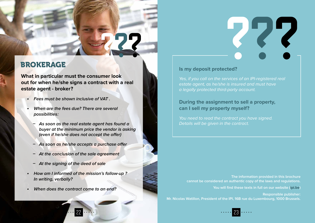#### BROKERAGE

**What in particular must the consumer look out for when he/she signs a contract with a real estate agent - broker ?** 

- **• Fees must be shown inclusive of VAT .**
- **• When are the fees due? There are several possibilities :**
	- **ͽ As soon as the real estate agent has found a buyer at the minimum price the vendor is asking (even if he/she does not accept the offer)**
	- **ͽ As soon as he/she accepts a purchase offer**
	- **ͽ At the conclusion of the sale agreement**
	- **ͽ At the signing of the deed of sale**
- **• How am I informed of the mission's follow-up ? In writing, verbally?**
- **• When does the contract come to an end?**

#### **Is my deposit protected?**

Yes, if you call on the services of an IPI-registered real estate agent, as he/she is insured and must have a legally protected third-party account.

#### **During the assignment to sell a property, can I sell my property myself?**

You need to read the contract you have signed. Details will be given in the contract.

**The information provided in this brochure cannot be considered an authentic copy of the laws and regulations.**

**You will find these texts in full on our website (ipi.be)**

777

**Responsible publisher: Mr. Nicolas Watillon, President of the IPI, 16B rue du Luxembourg, 1000 Brussels.**